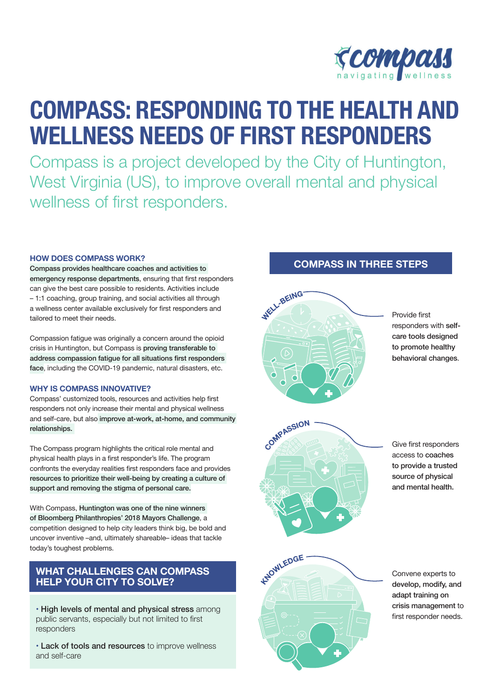

# **COMPASS: RESPONDING TO THE HEALTH AND WELLNESS NEEDS OF FIRST RESPONDERS**

Compass is a project developed by the City of Huntington, West Virginia (US), to improve overall mental and physical wellness of first responders.

#### **HOW DOES COMPASS WORK?**

Compass provides healthcare coaches and activities to emergency response departments, ensuring that first responders can give the best care possible to residents. Activities include – 1:1 coaching, group training, and social activities all through a wellness center available exclusively for first responders and tailored to meet their needs.

Compassion fatigue was originally a concern around the opioid crisis in Huntington, but Compass is proving transferable to address compassion fatigue for all situations first responders face, including the COVID-19 pandemic, natural disasters, etc.

#### **WHY IS COMPASS INNOVATIVE?**

Compass' customized tools, resources and activities help first responders not only increase their mental and physical wellness and self-care, but also improve at-work, at-home, and community relationships.

The Compass program highlights the critical role mental and physical health plays in a first responder's life. The program confronts the everyday realities first responders face and provides resources to prioritize their well-being by creating a culture of support and removing the stigma of personal care.

With Compass, Huntington was one of the nine winners of Bloomberg Philanthropies' 2018 Mayors Challenge, a competition designed to help city leaders think big, be bold and uncover inventive –and, ultimately shareable– ideas that tackle today's toughest problems.

### **WHAT CHALLENGES CAN COMPASS HELP YOUR CITY TO SOLVE?**

• High levels of mental and physical stress among public servants, especially but not limited to first responders

• Lack of tools and resources to improve wellness and self-care

## **COMPASS IN THREE STEPS**



Provide first responders with selfcare tools designed to promote healthy behavioral changes.



Give first responders access to coaches to provide a trusted source of physical and mental health.



Convene experts to develop, modify, and adapt training on crisis management to first responder needs.